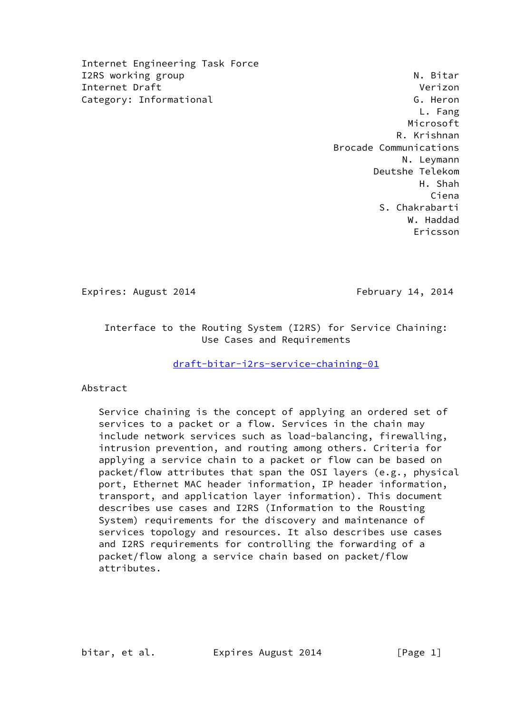Internet Engineering Task Force I2RS working group and the set of the set of the set of the set of the set of the set of the set of the set of the set of the set of the set of the set of the set of the set of the set of the set of the set of the set of t Internet Draft Verizon Category: Informational G. Heron G. Heron

 L. Fang Microsoft R. Krishnan Brocade Communications N. Leymann Deutshe Telekom H. Shah Ciena S. Chakrabarti W. Haddad Ericsson

Expires: August 2014 **February 14, 2014** 

 Interface to the Routing System (I2RS) for Service Chaining: Use Cases and Requirements

[draft-bitar-i2rs-service-chaining-01](https://datatracker.ietf.org/doc/pdf/draft-bitar-i2rs-service-chaining-01)

Abstract

 Service chaining is the concept of applying an ordered set of services to a packet or a flow. Services in the chain may include network services such as load-balancing, firewalling, intrusion prevention, and routing among others. Criteria for applying a service chain to a packet or flow can be based on packet/flow attributes that span the OSI layers (e.g., physical port, Ethernet MAC header information, IP header information, transport, and application layer information). This document describes use cases and I2RS (Information to the Rousting System) requirements for the discovery and maintenance of services topology and resources. It also describes use cases and I2RS requirements for controlling the forwarding of a packet/flow along a service chain based on packet/flow attributes.

bitar, et al. Expires August 2014 [Page 1]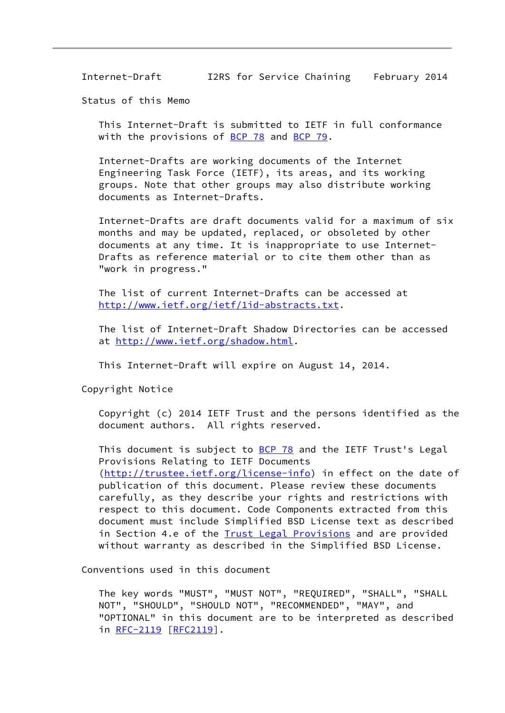Status of this Memo

 This Internet-Draft is submitted to IETF in full conformance with the provisions of [BCP 78](https://datatracker.ietf.org/doc/pdf/bcp78) and [BCP 79](https://datatracker.ietf.org/doc/pdf/bcp79).

 Internet-Drafts are working documents of the Internet Engineering Task Force (IETF), its areas, and its working groups. Note that other groups may also distribute working documents as Internet-Drafts.

 Internet-Drafts are draft documents valid for a maximum of six months and may be updated, replaced, or obsoleted by other documents at any time. It is inappropriate to use Internet- Drafts as reference material or to cite them other than as "work in progress."

 The list of current Internet-Drafts can be accessed at [http://www.ietf.org/ietf/1id-abstracts.txt.](http://www.ietf.org/ietf/1id-abstracts.txt)

 The list of Internet-Draft Shadow Directories can be accessed at<http://www.ietf.org/shadow.html>.

This Internet-Draft will expire on August 14, 2014.

Copyright Notice

 Copyright (c) 2014 IETF Trust and the persons identified as the document authors. All rights reserved.

This document is subject to [BCP 78](https://datatracker.ietf.org/doc/pdf/bcp78) and the IETF Trust's Legal Provisions Relating to IETF Documents [\(http://trustee.ietf.org/license-info](http://trustee.ietf.org/license-info)) in effect on the date of publication of this document. Please review these documents carefully, as they describe your rights and restrictions with respect to this document. Code Components extracted from this document must include Simplified BSD License text as described in Section 4.e of the **[Trust Legal Provisions](https://trustee.ietf.org/license-info)** and are provided without warranty as described in the Simplified BSD License.

Conventions used in this document

 The key words "MUST", "MUST NOT", "REQUIRED", "SHALL", "SHALL NOT", "SHOULD", "SHOULD NOT", "RECOMMENDED", "MAY", and "OPTIONAL" in this document are to be interpreted as described in [RFC-2119](https://datatracker.ietf.org/doc/pdf/rfc2119) [\[RFC2119](https://datatracker.ietf.org/doc/pdf/rfc2119)].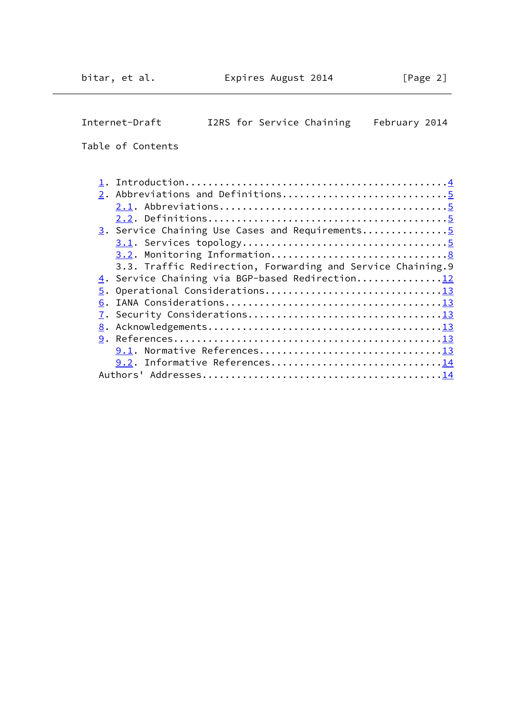Internet-Draft I2RS for Service Chaining February 2014 Table of Contents 1. Introduction.............................................[.4](#page-3-0) 2. Abbreviations and Definitions..................................[.5](#page-4-0) 2.1. Abbreviations.......................................[.5](#page-4-0) 2.2. Definitions.........................................[.5](#page-4-0) 3. Service Chaining Use Cases and Requirements..................[.5](#page-4-0) 3.1. Services topology...................................[.5](#page-4-0) 3.2. Monitoring Information..............................[.8](#page-7-0) 3.3. Traffic Redirection, Forwarding and Service Chaining.9 4. Service Chaining via BGP-based Redirection..............[.12](#page-11-0) 5. Operational Considerations..............................[.13](#page-12-0) 6. IANA Considerations.....................................[.13](#page-12-0) 7. Security Considerations.................................[.13](#page-12-0) 8. Acknowledgements........................................[.13](#page-12-0) 9. References..............................................[.13](#page-12-0) 9.1. Normative References...............................[.13](#page-12-0) 9.2. Informative References...............................[.14](#page-13-0) Authors' Addresses.........................................[.14](#page-13-0)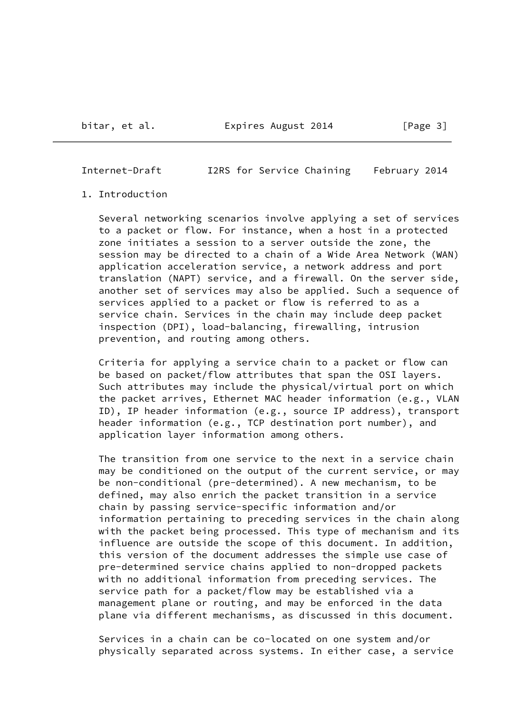## <span id="page-3-0"></span>1. Introduction

 Several networking scenarios involve applying a set of services to a packet or flow. For instance, when a host in a protected zone initiates a session to a server outside the zone, the session may be directed to a chain of a Wide Area Network (WAN) application acceleration service, a network address and port translation (NAPT) service, and a firewall. On the server side, another set of services may also be applied. Such a sequence of services applied to a packet or flow is referred to as a service chain. Services in the chain may include deep packet inspection (DPI), load-balancing, firewalling, intrusion prevention, and routing among others.

 Criteria for applying a service chain to a packet or flow can be based on packet/flow attributes that span the OSI layers. Such attributes may include the physical/virtual port on which the packet arrives, Ethernet MAC header information (e.g., VLAN ID), IP header information (e.g., source IP address), transport header information (e.g., TCP destination port number), and application layer information among others.

 The transition from one service to the next in a service chain may be conditioned on the output of the current service, or may be non-conditional (pre-determined). A new mechanism, to be defined, may also enrich the packet transition in a service chain by passing service-specific information and/or information pertaining to preceding services in the chain along with the packet being processed. This type of mechanism and its influence are outside the scope of this document. In addition, this version of the document addresses the simple use case of pre-determined service chains applied to non-dropped packets with no additional information from preceding services. The service path for a packet/flow may be established via a management plane or routing, and may be enforced in the data plane via different mechanisms, as discussed in this document.

 Services in a chain can be co-located on one system and/or physically separated across systems. In either case, a service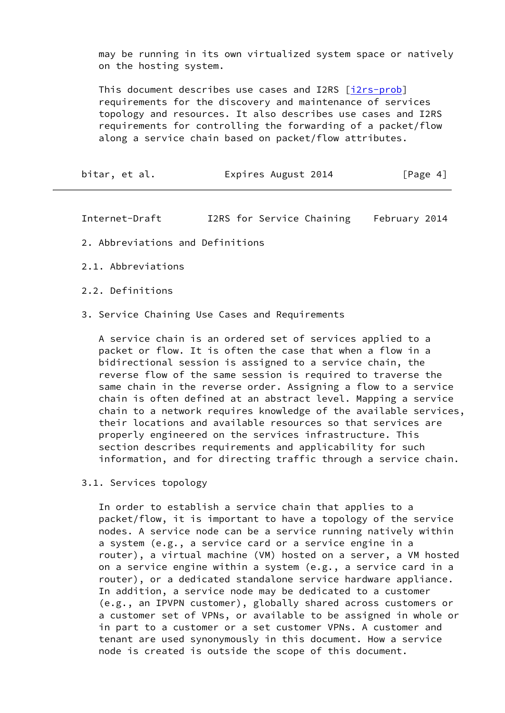may be running in its own virtualized system space or natively on the hosting system.

 This document describes use cases and I2RS [\[i2rs-prob](#page-13-1)] requirements for the discovery and maintenance of services topology and resources. It also describes use cases and I2RS requirements for controlling the forwarding of a packet/flow along a service chain based on packet/flow attributes.

<span id="page-4-0"></span>

| bitar, et al. | Expires August 2014 | [Page 4] |
|---------------|---------------------|----------|
|---------------|---------------------|----------|

Internet-Draft I2RS for Service Chaining February 2014

- 2. Abbreviations and Definitions
- 2.1. Abbreviations
- 2.2. Definitions
- 3. Service Chaining Use Cases and Requirements

 A service chain is an ordered set of services applied to a packet or flow. It is often the case that when a flow in a bidirectional session is assigned to a service chain, the reverse flow of the same session is required to traverse the same chain in the reverse order. Assigning a flow to a service chain is often defined at an abstract level. Mapping a service chain to a network requires knowledge of the available services, their locations and available resources so that services are properly engineered on the services infrastructure. This section describes requirements and applicability for such information, and for directing traffic through a service chain.

3.1. Services topology

 In order to establish a service chain that applies to a packet/flow, it is important to have a topology of the service nodes. A service node can be a service running natively within a system (e.g., a service card or a service engine in a router), a virtual machine (VM) hosted on a server, a VM hosted on a service engine within a system (e.g., a service card in a router), or a dedicated standalone service hardware appliance. In addition, a service node may be dedicated to a customer (e.g., an IPVPN customer), globally shared across customers or a customer set of VPNs, or available to be assigned in whole or in part to a customer or a set customer VPNs. A customer and tenant are used synonymously in this document. How a service node is created is outside the scope of this document.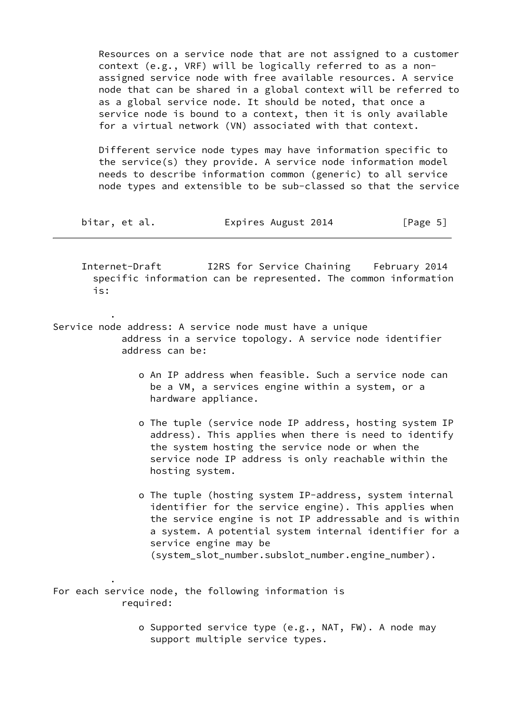Resources on a service node that are not assigned to a customer context (e.g., VRF) will be logically referred to as a non assigned service node with free available resources. A service node that can be shared in a global context will be referred to as a global service node. It should be noted, that once a service node is bound to a context, then it is only available for a virtual network (VN) associated with that context.

 Different service node types may have information specific to the service(s) they provide. A service node information model needs to describe information common (generic) to all service node types and extensible to be sub-classed so that the service

| bitar, et al. | Expires August 2014 | [Page 5] |
|---------------|---------------------|----------|
|---------------|---------------------|----------|

 Internet-Draft I2RS for Service Chaining February 2014 specific information can be represented. The common information is:

Service node address: A service node must have a unique address in a service topology. A service node identifier address can be:

.

.

- o An IP address when feasible. Such a service node can be a VM, a services engine within a system, or a hardware appliance.
- o The tuple (service node IP address, hosting system IP address). This applies when there is need to identify the system hosting the service node or when the service node IP address is only reachable within the hosting system.
- o The tuple (hosting system IP-address, system internal identifier for the service engine). This applies when the service engine is not IP addressable and is within a system. A potential system internal identifier for a service engine may be (system\_slot\_number.subslot\_number.engine\_number).

For each service node, the following information is required:

> o Supported service type (e.g., NAT, FW). A node may support multiple service types.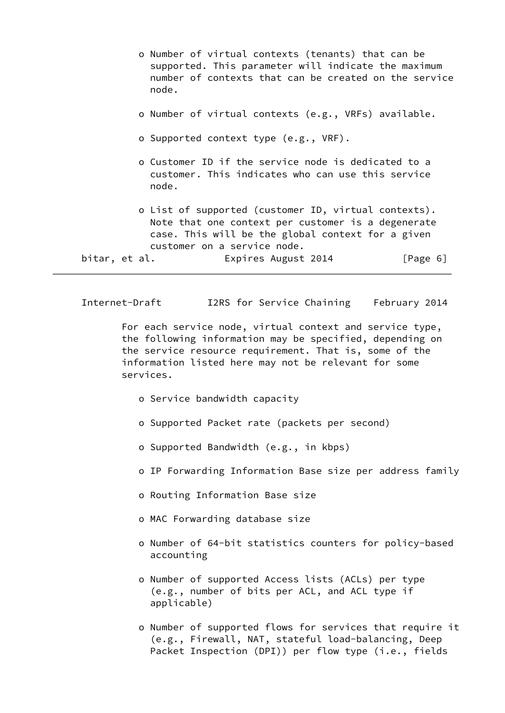- o Number of virtual contexts (tenants) that can be supported. This parameter will indicate the maximum number of contexts that can be created on the service node.
- o Number of virtual contexts (e.g., VRFs) available.
- o Supported context type (e.g., VRF).
- o Customer ID if the service node is dedicated to a customer. This indicates who can use this service node.
- o List of supported (customer ID, virtual contexts). Note that one context per customer is a degenerate case. This will be the global context for a given customer on a service node.

```
bitar, et al. Expires August 2014 [Page 6]
```
 For each service node, virtual context and service type, the following information may be specified, depending on the service resource requirement. That is, some of the information listed here may not be relevant for some services.

- o Service bandwidth capacity
- o Supported Packet rate (packets per second)
- o Supported Bandwidth (e.g., in kbps)
- o IP Forwarding Information Base size per address family
- o Routing Information Base size
- o MAC Forwarding database size
- o Number of 64-bit statistics counters for policy-based accounting
- o Number of supported Access lists (ACLs) per type (e.g., number of bits per ACL, and ACL type if applicable)
- o Number of supported flows for services that require it (e.g., Firewall, NAT, stateful load-balancing, Deep Packet Inspection (DPI)) per flow type (i.e., fields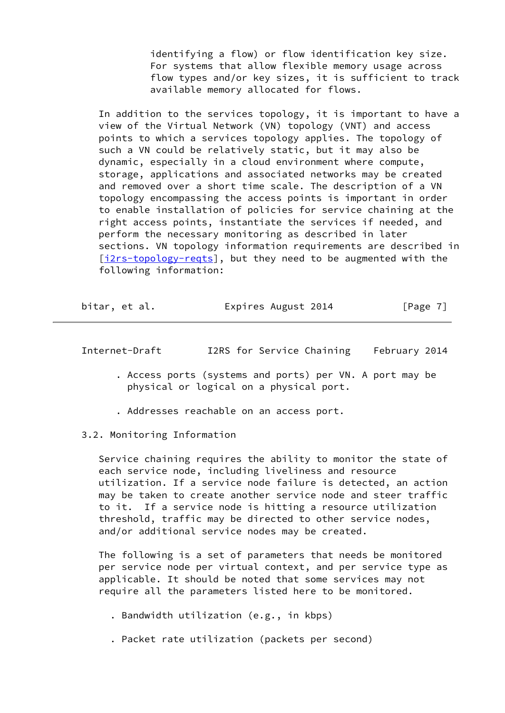identifying a flow) or flow identification key size. For systems that allow flexible memory usage across flow types and/or key sizes, it is sufficient to track available memory allocated for flows.

 In addition to the services topology, it is important to have a view of the Virtual Network (VN) topology (VNT) and access points to which a services topology applies. The topology of such a VN could be relatively static, but it may also be dynamic, especially in a cloud environment where compute, storage, applications and associated networks may be created and removed over a short time scale. The description of a VN topology encompassing the access points is important in order to enable installation of policies for service chaining at the right access points, instantiate the services if needed, and perform the necessary monitoring as described in later sections. VN topology information requirements are described in [\[i2rs-topology-reqts](#page-13-2)], but they need to be augmented with the following information:

<span id="page-7-0"></span>

| bitar, et al. | Expires August 2014 | [Page 7] |
|---------------|---------------------|----------|
|---------------|---------------------|----------|

Internet-Draft I2RS for Service Chaining February 2014

- . Access ports (systems and ports) per VN. A port may be physical or logical on a physical port.
- . Addresses reachable on an access port.

3.2. Monitoring Information

 Service chaining requires the ability to monitor the state of each service node, including liveliness and resource utilization. If a service node failure is detected, an action may be taken to create another service node and steer traffic to it. If a service node is hitting a resource utilization threshold, traffic may be directed to other service nodes, and/or additional service nodes may be created.

 The following is a set of parameters that needs be monitored per service node per virtual context, and per service type as applicable. It should be noted that some services may not require all the parameters listed here to be monitored.

- . Bandwidth utilization (e.g., in kbps)
- . Packet rate utilization (packets per second)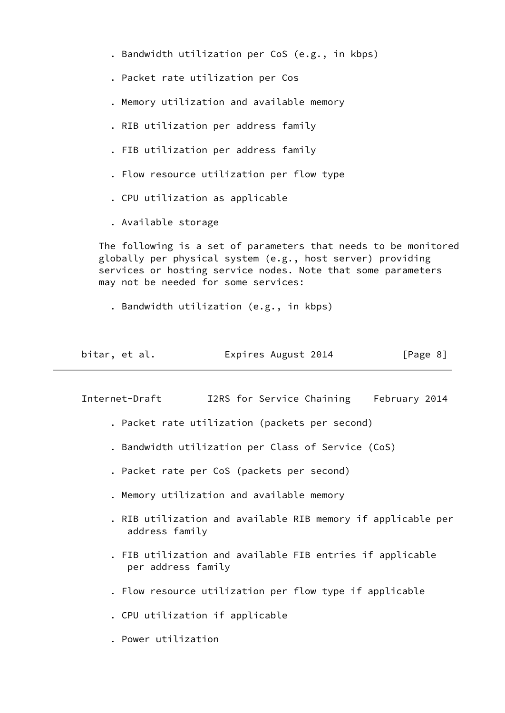- . Bandwidth utilization per CoS (e.g., in kbps)
- . Packet rate utilization per Cos
- . Memory utilization and available memory
- . RIB utilization per address family
- . FIB utilization per address family
- . Flow resource utilization per flow type
- . CPU utilization as applicable
- . Available storage

 The following is a set of parameters that needs to be monitored globally per physical system (e.g., host server) providing services or hosting service nodes. Note that some parameters may not be needed for some services:

. Bandwidth utilization (e.g., in kbps)

| bitar, et al. | Expires August 2014 | [Page 8] |
|---------------|---------------------|----------|
|---------------|---------------------|----------|

Internet-Draft I2RS for Service Chaining February 2014

- . Packet rate utilization (packets per second)
- . Bandwidth utilization per Class of Service (CoS)
- . Packet rate per CoS (packets per second)
- . Memory utilization and available memory
- . RIB utilization and available RIB memory if applicable per address family
- . FIB utilization and available FIB entries if applicable per address family
- . Flow resource utilization per flow type if applicable
- . CPU utilization if applicable
- . Power utilization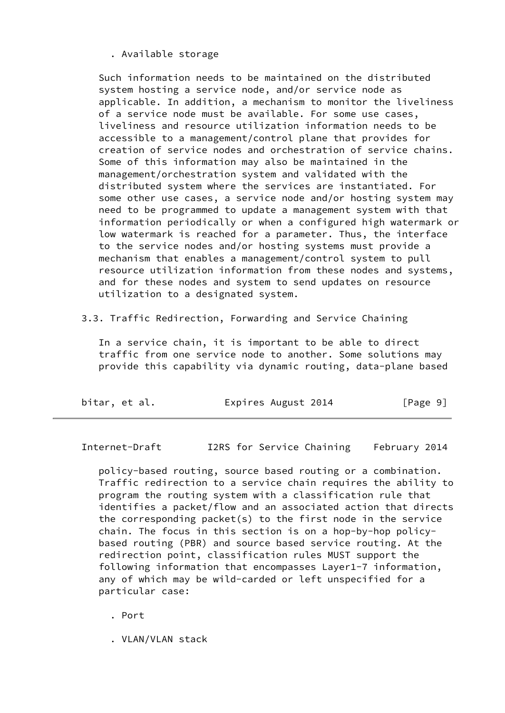. Available storage

 Such information needs to be maintained on the distributed system hosting a service node, and/or service node as applicable. In addition, a mechanism to monitor the liveliness of a service node must be available. For some use cases, liveliness and resource utilization information needs to be accessible to a management/control plane that provides for creation of service nodes and orchestration of service chains. Some of this information may also be maintained in the management/orchestration system and validated with the distributed system where the services are instantiated. For some other use cases, a service node and/or hosting system may need to be programmed to update a management system with that information periodically or when a configured high watermark or low watermark is reached for a parameter. Thus, the interface to the service nodes and/or hosting systems must provide a mechanism that enables a management/control system to pull resource utilization information from these nodes and systems, and for these nodes and system to send updates on resource utilization to a designated system.

3.3. Traffic Redirection, Forwarding and Service Chaining

 In a service chain, it is important to be able to direct traffic from one service node to another. Some solutions may provide this capability via dynamic routing, data-plane based

| bitar, et al. | Expires August 2014 | [Page 9] |
|---------------|---------------------|----------|
|---------------|---------------------|----------|

Internet-Draft I2RS for Service Chaining February 2014

 policy-based routing, source based routing or a combination. Traffic redirection to a service chain requires the ability to program the routing system with a classification rule that identifies a packet/flow and an associated action that directs the corresponding packet(s) to the first node in the service chain. The focus in this section is on a hop-by-hop policy based routing (PBR) and source based service routing. At the redirection point, classification rules MUST support the following information that encompasses Layer1-7 information, any of which may be wild-carded or left unspecified for a particular case:

. Port

. VLAN/VLAN stack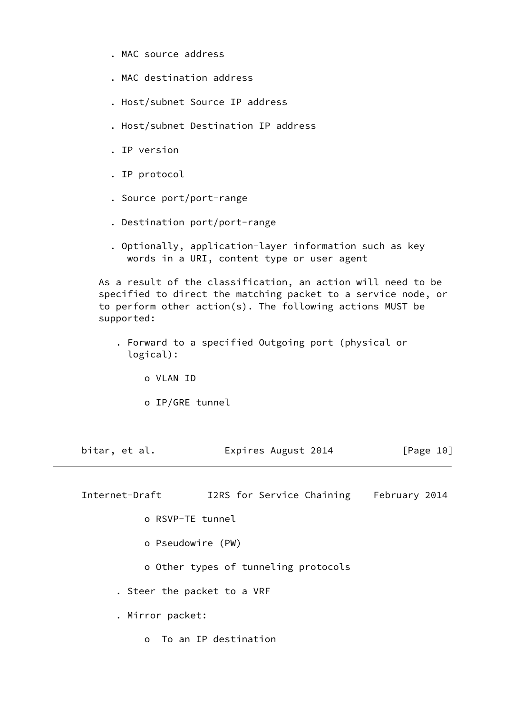- . MAC source address
- . MAC destination address
- . Host/subnet Source IP address
- . Host/subnet Destination IP address
- . IP version
- . IP protocol
- . Source port/port-range
- . Destination port/port-range
- . Optionally, application-layer information such as key words in a URI, content type or user agent

 As a result of the classification, an action will need to be specified to direct the matching packet to a service node, or to perform other action(s). The following actions MUST be supported:

- . Forward to a specified Outgoing port (physical or logical):
	- o VLAN ID
	- o IP/GRE tunnel

bitar, et al. **Expires August 2014** [Page 10]

Internet-Draft I2RS for Service Chaining February 2014

- o RSVP-TE tunnel
- o Pseudowire (PW)

o Other types of tunneling protocols

. Steer the packet to a VRF

. Mirror packet:

o To an IP destination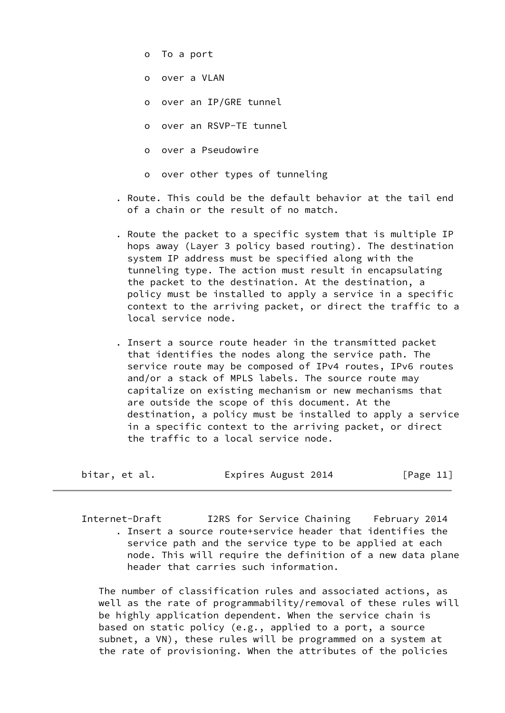- o To a port
- o over a VLAN
- o over an IP/GRE tunnel
- o over an RSVP-TE tunnel
- o over a Pseudowire
- o over other types of tunneling
- . Route. This could be the default behavior at the tail end of a chain or the result of no match.
- . Route the packet to a specific system that is multiple IP hops away (Layer 3 policy based routing). The destination system IP address must be specified along with the tunneling type. The action must result in encapsulating the packet to the destination. At the destination, a policy must be installed to apply a service in a specific context to the arriving packet, or direct the traffic to a local service node.
- . Insert a source route header in the transmitted packet that identifies the nodes along the service path. The service route may be composed of IPv4 routes, IPv6 routes and/or a stack of MPLS labels. The source route may capitalize on existing mechanism or new mechanisms that are outside the scope of this document. At the destination, a policy must be installed to apply a service in a specific context to the arriving packet, or direct the traffic to a local service node.

<span id="page-11-0"></span>

| bitar, et al. | Expires August 2014 | [Page 11] |
|---------------|---------------------|-----------|
|---------------|---------------------|-----------|

 Internet-Draft I2RS for Service Chaining February 2014 . Insert a source route+service header that identifies the service path and the service type to be applied at each node. This will require the definition of a new data plane header that carries such information.

 The number of classification rules and associated actions, as well as the rate of programmability/removal of these rules will be highly application dependent. When the service chain is based on static policy (e.g., applied to a port, a source subnet, a VN), these rules will be programmed on a system at the rate of provisioning. When the attributes of the policies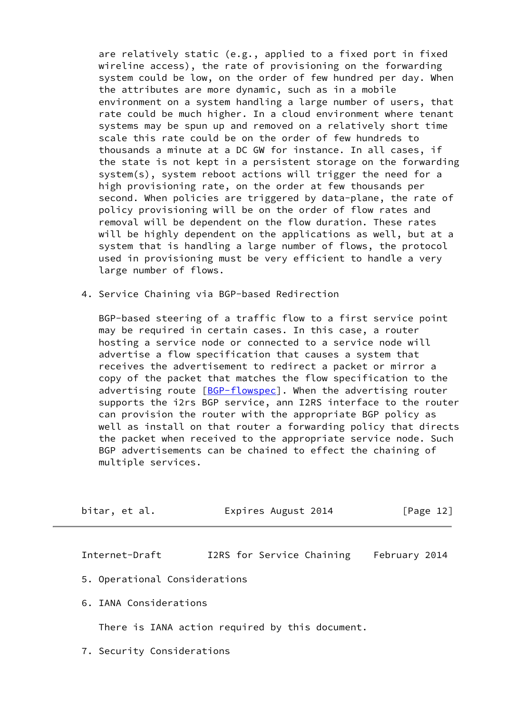are relatively static (e.g., applied to a fixed port in fixed wireline access), the rate of provisioning on the forwarding system could be low, on the order of few hundred per day. When the attributes are more dynamic, such as in a mobile environment on a system handling a large number of users, that rate could be much higher. In a cloud environment where tenant systems may be spun up and removed on a relatively short time scale this rate could be on the order of few hundreds to thousands a minute at a DC GW for instance. In all cases, if the state is not kept in a persistent storage on the forwarding system(s), system reboot actions will trigger the need for a high provisioning rate, on the order at few thousands per second. When policies are triggered by data-plane, the rate of policy provisioning will be on the order of flow rates and removal will be dependent on the flow duration. These rates will be highly dependent on the applications as well, but at a system that is handling a large number of flows, the protocol used in provisioning must be very efficient to handle a very large number of flows.

4. Service Chaining via BGP-based Redirection

 BGP-based steering of a traffic flow to a first service point may be required in certain cases. In this case, a router hosting a service node or connected to a service node will advertise a flow specification that causes a system that receives the advertisement to redirect a packet or mirror a copy of the packet that matches the flow specification to the advertising route [\[BGP-flowspec](#page-13-3)]. When the advertising router supports the i2rs BGP service, ann I2RS interface to the router can provision the router with the appropriate BGP policy as well as install on that router a forwarding policy that directs the packet when received to the appropriate service node. Such BGP advertisements can be chained to effect the chaining of multiple services.

<span id="page-12-0"></span>

| bitar, et al. | Expires August 2014 | [Page 12] |
|---------------|---------------------|-----------|
|               |                     |           |

Internet-Draft I2RS for Service Chaining February 2014

- 5. Operational Considerations
- 6. IANA Considerations

There is IANA action required by this document.

7. Security Considerations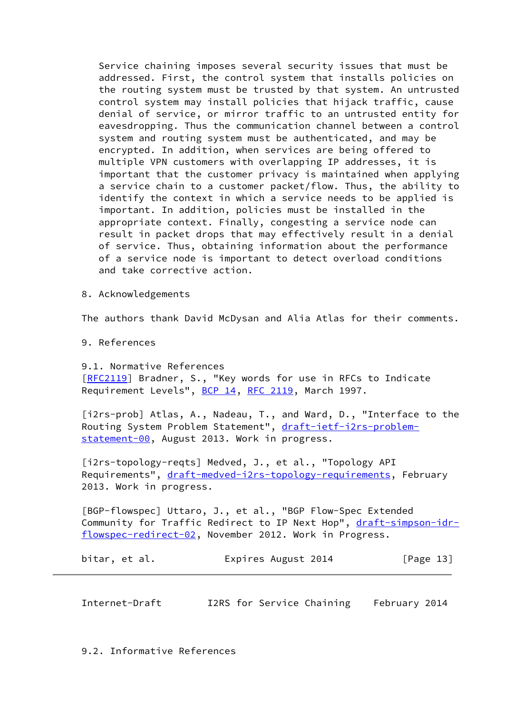Service chaining imposes several security issues that must be addressed. First, the control system that installs policies on the routing system must be trusted by that system. An untrusted control system may install policies that hijack traffic, cause denial of service, or mirror traffic to an untrusted entity for eavesdropping. Thus the communication channel between a control system and routing system must be authenticated, and may be encrypted. In addition, when services are being offered to multiple VPN customers with overlapping IP addresses, it is important that the customer privacy is maintained when applying a service chain to a customer packet/flow. Thus, the ability to identify the context in which a service needs to be applied is important. In addition, policies must be installed in the appropriate context. Finally, congesting a service node can result in packet drops that may effectively result in a denial of service. Thus, obtaining information about the performance of a service node is important to detect overload conditions and take corrective action.

8. Acknowledgements

The authors thank David McDysan and Alia Atlas for their comments.

9. References

 9.1. Normative References [[RFC2119](https://datatracker.ietf.org/doc/pdf/rfc2119)] Bradner, S., "Key words for use in RFCs to Indicate Requirement Levels", [BCP 14](https://datatracker.ietf.org/doc/pdf/bcp14), [RFC 2119,](https://datatracker.ietf.org/doc/pdf/rfc2119) March 1997.

<span id="page-13-1"></span>[i2rs-prob] Atlas, A., Nadeau, T., and Ward, D., "Interface to the Routing System Problem Statement", [draft-ietf-i2rs-problem](https://datatracker.ietf.org/doc/pdf/draft-ietf-i2rs-problem-statement-00) [statement-00](https://datatracker.ietf.org/doc/pdf/draft-ietf-i2rs-problem-statement-00), August 2013. Work in progress.

<span id="page-13-2"></span>[i2rs-topology-reqts] Medved, J., et al., "Topology API Requirements", [draft-medved-i2rs-topology-requirements](https://datatracker.ietf.org/doc/pdf/draft-medved-i2rs-topology-requirements), February 2013. Work in progress.

<span id="page-13-3"></span> [BGP-flowspec] Uttaro, J., et al., "BGP Flow-Spec Extended Community for Traffic Redirect to IP Next Hop", [draft-simpson-idr](https://datatracker.ietf.org/doc/pdf/draft-simpson-idr-flowspec-redirect-02) [flowspec-redirect-02](https://datatracker.ietf.org/doc/pdf/draft-simpson-idr-flowspec-redirect-02), November 2012. Work in Progress.

bitar, et al. **Expires August 2014** [Page 13]

<span id="page-13-0"></span>Internet-Draft I2RS for Service Chaining February 2014

9.2. Informative References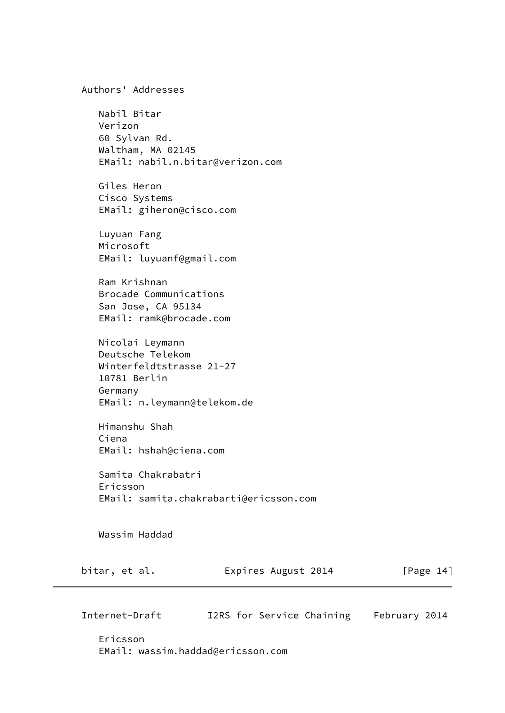|               | Authors' Addresses                                                                                             |                                        |              |
|---------------|----------------------------------------------------------------------------------------------------------------|----------------------------------------|--------------|
| Verizon       | Nabil Bitar<br>60 Sylvan Rd.<br>Waltham, MA 02145<br>EMail: nabil.n.bitar@verizon.com                          |                                        |              |
|               | Giles Heron<br>Cisco Systems<br>EMail: giheron@cisco.com                                                       |                                        |              |
| Microsoft     | Luyuan Fang<br>EMail: luyuanf@gmail.com                                                                        |                                        |              |
|               | Ram Krishnan<br>Brocade Communications<br>San Jose, CA 95134<br>EMail: ramk@brocade.com                        |                                        |              |
| Germany       | Nicolai Leymann<br>Deutsche Telekom<br>Winterfeldtstrasse 21-27<br>10781 Berlin<br>EMail: n.leymann@telekom.de |                                        |              |
| Ciena         | Himanshu Shah<br>EMail: hshah@ciena.com                                                                        |                                        |              |
| Ericsson      | Samita Chakrabatri                                                                                             | EMail: samita.chakrabarti@ericsson.com |              |
|               | Wassim Haddad                                                                                                  |                                        |              |
| bitar, et al. |                                                                                                                | Expires August 2014                    | [Page $14$ ] |

 Ericsson EMail: wassim.haddad@ericsson.com